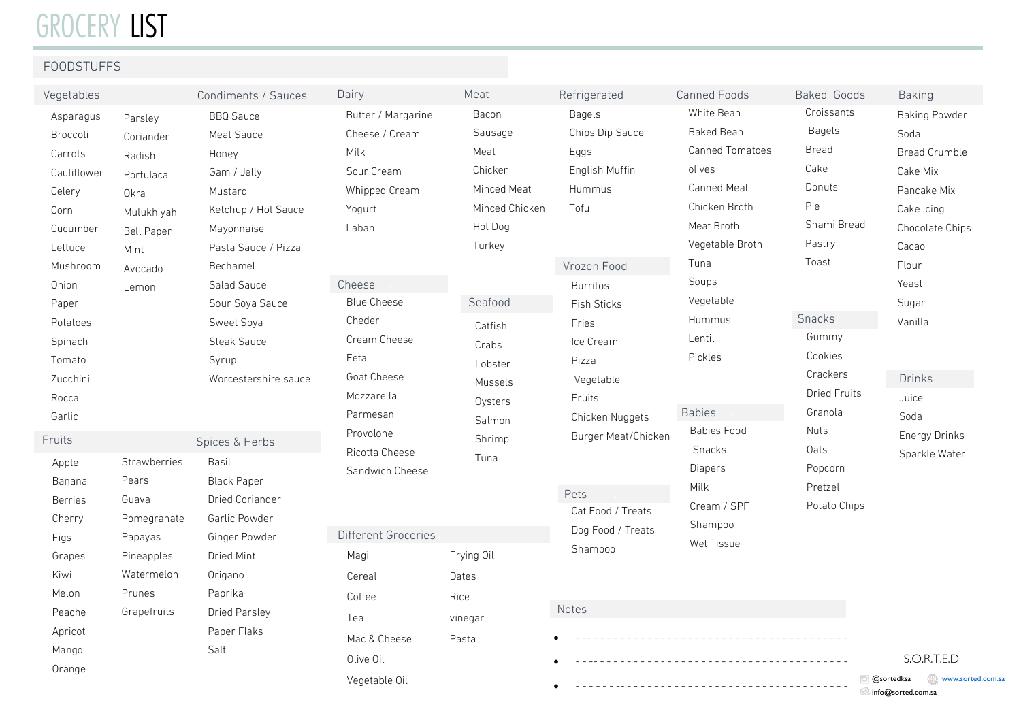## GROCERY LIST

### FOODSTUFFS

| Vegetables                                                                                                                                    |                                                                                                                    | Condiments / Sauces                                                                                                                                                                                             | Dairy                                                                                                                                                    | Meat                                                                                                                     | Refrigerated                                                                                                                                                      | Canned Foods                                                                                                                                                                    | Baked Goods                                                                                                               |
|-----------------------------------------------------------------------------------------------------------------------------------------------|--------------------------------------------------------------------------------------------------------------------|-----------------------------------------------------------------------------------------------------------------------------------------------------------------------------------------------------------------|----------------------------------------------------------------------------------------------------------------------------------------------------------|--------------------------------------------------------------------------------------------------------------------------|-------------------------------------------------------------------------------------------------------------------------------------------------------------------|---------------------------------------------------------------------------------------------------------------------------------------------------------------------------------|---------------------------------------------------------------------------------------------------------------------------|
| Asparagus<br>Broccoli<br>Carrots<br>Cauliflower<br>Celery<br>Corn<br>Cucumber<br>Lettuce<br>Mushroom<br>Onion<br>Paper<br>Potatoes<br>Spinach | Parsley<br>Coriander<br>Radish<br>Portulaca<br>Okra<br>Mulukhiyah<br><b>Bell Paper</b><br>Mint<br>Avocado<br>Lemon | <b>BBQ Sauce</b><br>Meat Sauce<br>Honey<br>Gam / Jelly<br>Mustard<br>Ketchup / Hot Sauce<br>Mayonnaise<br>Pasta Sauce / Pizza<br>Bechamel<br>Salad Sauce<br>Sour Soya Sauce<br>Sweet Soya<br><b>Steak Sauce</b> | Butter / Margarine<br>Cheese / Cream<br>Milk<br>Sour Cream<br>Whipped Cream<br>Yogurt<br>Laban<br>Cheese<br><b>Blue Cheese</b><br>Cheder<br>Cream Cheese | Bacon<br>Sausage<br>Meat<br>Chicken<br>Minced Meat<br>Minced Chicken<br>Hot Dog<br>Turkey<br>Seafood<br>Catfish<br>Crabs | <b>Bagels</b><br>Chips Dip Sauce<br>Eggs<br>English Muffin<br><b>Hummus</b><br>Tofu<br>Vrozen Food<br><b>Burritos</b><br><b>Fish Sticks</b><br>Fries<br>Ice Cream | White Bean<br><b>Baked Bean</b><br>Canned Tomatoes<br>olives<br>Canned Meat<br>Chicken Broth<br>Meat Broth<br>Vegetable Broth<br>Tuna<br>Soups<br>Vegetable<br>Hummus<br>Lentil | Croissants<br><b>Bagels</b><br><b>Bread</b><br>Cake<br>Donuts<br>Pie<br>Shami Bread<br>Pastry<br>Toast<br>Snacks<br>Gummy |
| Tomato<br>Zucchini<br>Rocca<br>Garlic<br>Fruits<br>Apple                                                                                      | Strawberries                                                                                                       | Syrup<br>Worcestershire sauce<br>Spices & Herbs<br>Basil                                                                                                                                                        | Feta<br>Goat Cheese<br>Mozzarella<br>Parmesan<br>Provolone<br>Ricotta Cheese<br>Sandwich Cheese                                                          | Lobster<br><b>Mussels</b><br>Oysters<br>Salmon<br>Shrimp<br>Tuna                                                         | Pizza<br>Vegetable<br><b>Fruits</b><br>Chicken Nuggets<br>Burger Meat/Chicken                                                                                     | Pickles<br><b>Babies</b><br><b>Babies Food</b><br>Snacks<br>Diapers                                                                                                             | Cookies<br>Crackers<br><b>Dried Fruits</b><br>Granola<br><b>Nuts</b><br>Oats<br>Popcorn                                   |
| Banana<br><b>Berries</b><br>Cherry<br>Figs<br>Grapes                                                                                          | Pears<br>Guava<br>Pomegranate<br>Papayas<br>Pineapples                                                             | <b>Black Paper</b><br><b>Dried Coriander</b><br>Garlic Powder<br>Ginger Powder<br>Dried Mint                                                                                                                    | Different Groceries<br>Magi                                                                                                                              | Frying Oil                                                                                                               | Pets<br>Cat Food / Treats<br>Dog Food / Treats<br>Shampoo                                                                                                         | Milk<br>Cream / SPF<br>Shampoo<br>Wet Tissue                                                                                                                                    | Pretzel<br>Potato Chips                                                                                                   |
| Kiwi<br>Melon<br>Peache                                                                                                                       | Watermelon<br>Prunes<br>Grapefruits                                                                                | Origano<br>Paprika<br><b>Dried Parsley</b>                                                                                                                                                                      | Cereal<br>Coffee<br>Tea                                                                                                                                  | Dates<br>Rice<br>vinegar                                                                                                 | Notes                                                                                                                                                             |                                                                                                                                                                                 |                                                                                                                           |
| Apricot<br>Mango<br>Orange                                                                                                                    |                                                                                                                    | Paper Flaks<br>Salt                                                                                                                                                                                             | Mac & Cheese<br>Olive Oil                                                                                                                                | Pasta                                                                                                                    |                                                                                                                                                                   |                                                                                                                                                                                 |                                                                                                                           |

Vegetable Oil

@sortedksa www.sorted.com.sa **info@sorted.com.sa** 

S.O.R.T.E.D

• - - - - - - -- - - - - - - - - - - - - - - - - - - - - - - - - - - - - - - - - -

د Drinks

 Energy Drinks Sparkle Water

 Juice Soda

Baking

Soda

 Cake Mix Pancake Mix Cake Icing Chocolate Chips

 Cacao Flour Yeast Sugar Vanilla

Baking Powder

Bread Crumble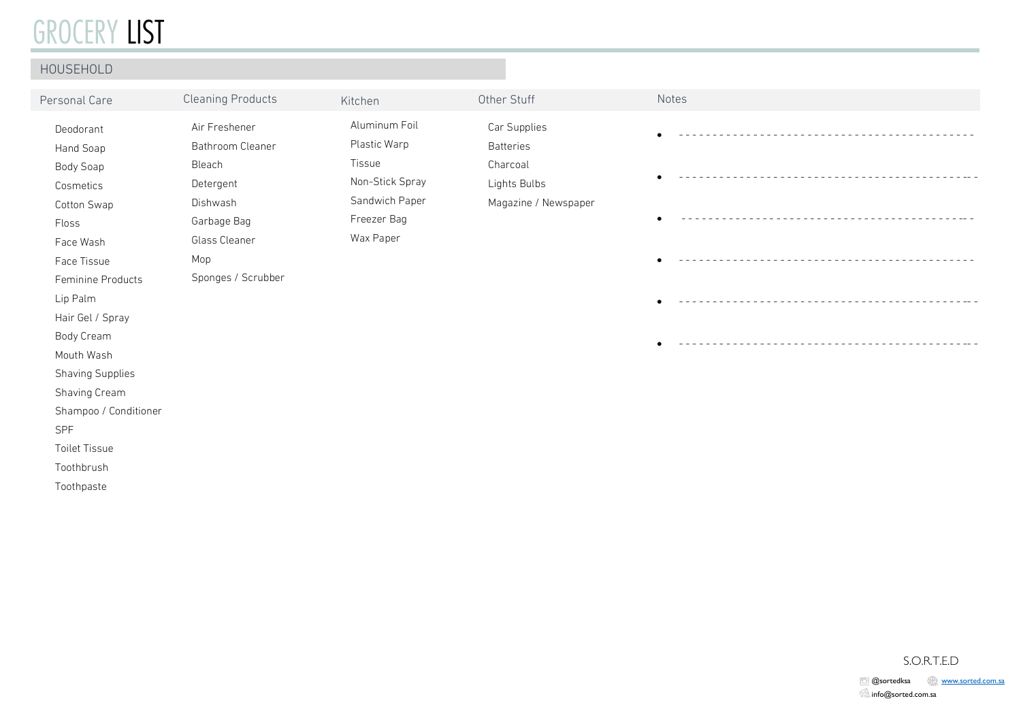## GROCERY LIST

| HOUSEHOLD                                           |                                          |                                             |                                  |       |
|-----------------------------------------------------|------------------------------------------|---------------------------------------------|----------------------------------|-------|
| Personal Care                                       | <b>Cleaning Products</b>                 | Kitchen                                     | Other Stuff                      | Notes |
| Deodorant<br>Hand Soap                              | Air Freshener<br>Bathroom Cleaner        | Aluminum Foil<br>Plastic Warp               | Car Supplies<br><b>Batteries</b> |       |
| Body Soap<br>Cosmetics                              | Bleach<br>Detergent                      | Tissue<br>Non-Stick Spray<br>Sandwich Paper | Charcoal<br>Lights Bulbs         |       |
| Cotton Swap<br>Floss<br>Face Wash                   | Dishwash<br>Garbage Bag<br>Glass Cleaner | Freezer Bag<br>Wax Paper                    | Magazine / Newspaper             |       |
| Face Tissue<br>Feminine Products                    | Mop<br>Sponges / Scrubber                |                                             |                                  |       |
| Lip Palm<br>Hair Gel / Spray                        |                                          |                                             |                                  |       |
| Body Cream<br>Mouth Wash<br><b>Shaving Supplies</b> |                                          |                                             |                                  |       |
| Shaving Cream<br>Shampoo / Conditioner              |                                          |                                             |                                  |       |
| SPF<br><b>Toilet Tissue</b><br>Toothbrush           |                                          |                                             |                                  |       |

Toothpaste

#### S.O.R.T.E.D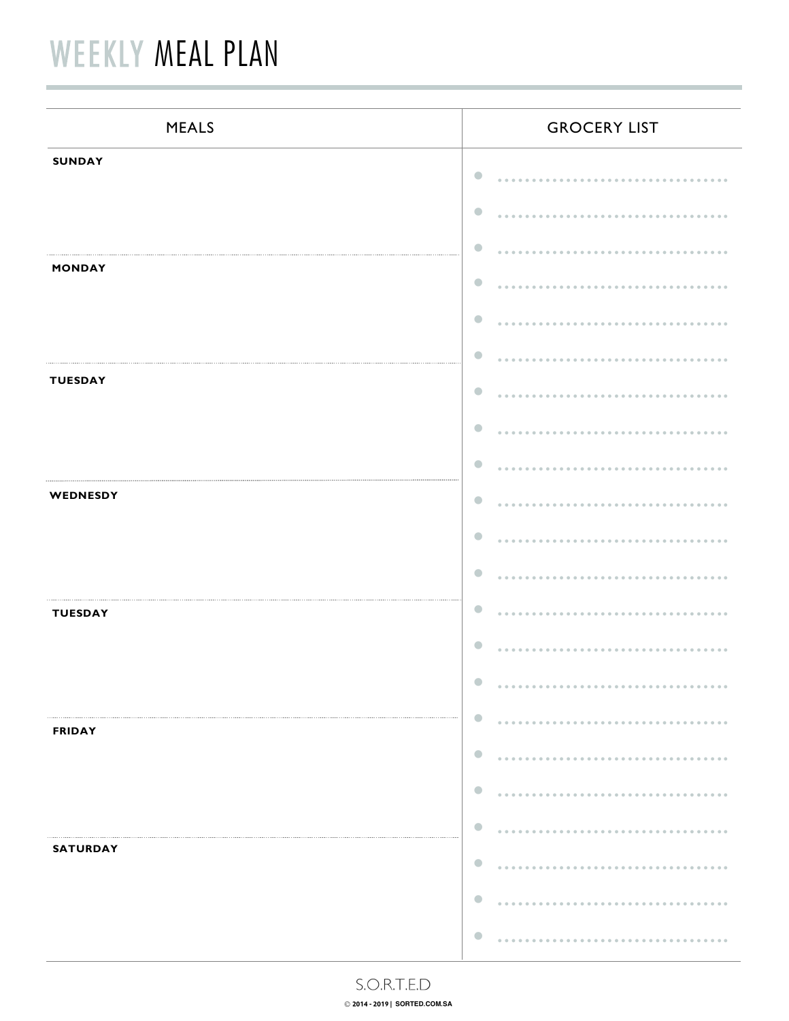# **WEEKLY MEAL PLAN**

| <b>MEALS</b>    | <b>GROCERY LIST</b>                                                            |
|-----------------|--------------------------------------------------------------------------------|
| <b>SUNDAY</b>   | $\bullet$                                                                      |
|                 | $\bullet$                                                                      |
| <b>MONDAY</b>   | $\bullet$                                                                      |
|                 | $\bullet$<br>$\bullet$                                                         |
|                 | $\bullet$                                                                      |
| <b>TUESDAY</b>  | $\bullet$                                                                      |
|                 | $\bullet$                                                                      |
|                 | $\bullet$                                                                      |
| WEDNESDY        | $\bullet$                                                                      |
|                 | $\bullet$                                                                      |
|                 | $\bullet$<br>$\bullet$                                                         |
| <b>TUESDAY</b>  | $\bullet$                                                                      |
|                 | $\bullet$<br>.                                                                 |
| <b>FRIDAY</b>   | $\bullet$                                                                      |
|                 | $\bullet$<br>$\sim$ $\sim$ $\sim$<br>$- - - - - - -$                           |
|                 | $\bullet$<br><br>-----------                                                   |
| <b>SATURDAY</b> | $\bullet$                                                                      |
|                 | $\bullet$<br>$\bullet$                                                         |
|                 | $- - - - - -$<br>$\bigcirc$<br>$0 \  \  \, 0 \  \  \, 0 \  \  \, 0 \  \  \, 0$ |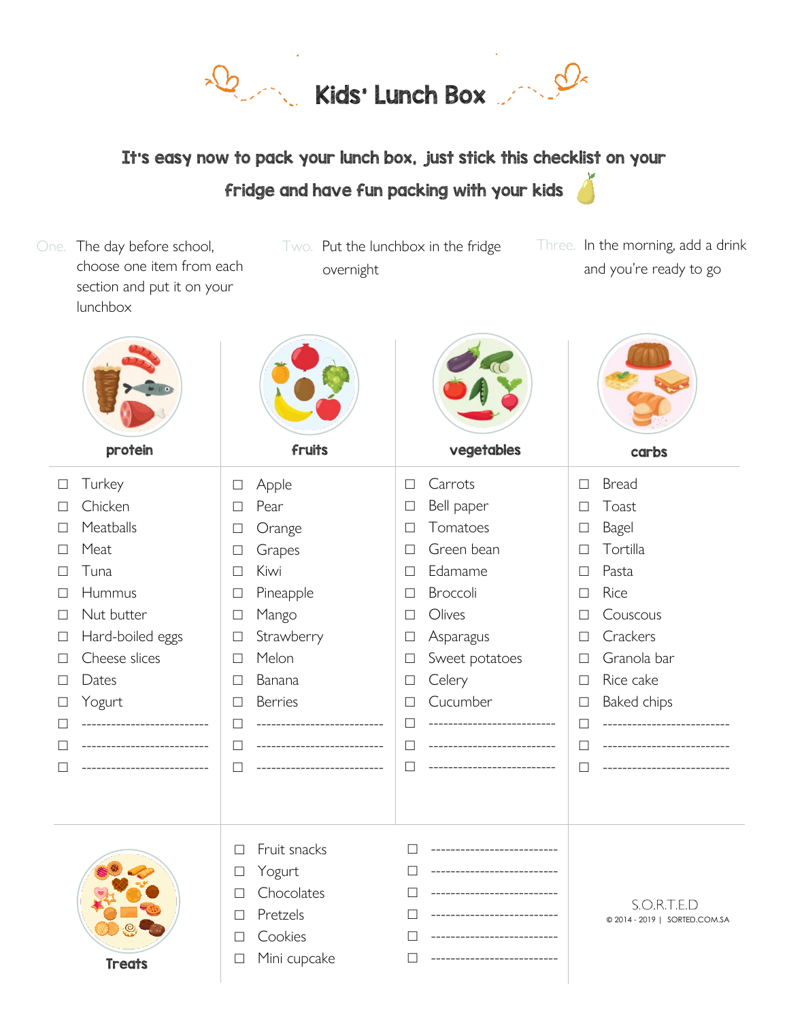Rids' Lunch Box

It's easy now to pack your lunch box, just stick this checklist on your fridge and have fun packing with your kids

| One.   | The day before school,<br>choose one item from each<br>section and put it on your<br>lunchbox | overnight                        | Two. Put the lunchbox in the fridge<br>Three. |                                              |  |
|--------|-----------------------------------------------------------------------------------------------|----------------------------------|-----------------------------------------------|----------------------------------------------|--|
|        | protein                                                                                       | fruits                           | vegetables                                    | carbs                                        |  |
| $\Box$ | Turkey                                                                                        | Apple<br>$\Box$                  | Carrots<br>□                                  | <b>Bread</b><br>$\Box$                       |  |
| $\Box$ | Chicken                                                                                       | Pear<br>$\Box$                   | Bell paper<br>$\mathcal{L}_{\mathcal{A}}$     | Toast<br>□                                   |  |
| $\Box$ | Meatballs                                                                                     | Orange<br>$\Box$                 | Tomatoes<br>$\Box$                            | Bagel<br>□                                   |  |
| $\Box$ | Meat                                                                                          | Grapes<br>$\Box$                 | Green bean<br>$\Box$                          | Tortilla<br>⊏                                |  |
| $\Box$ | Tuna                                                                                          | Kiwi<br>$\Box$                   | Edamame<br>□                                  | Pasta<br>□                                   |  |
| $\Box$ | Hummus                                                                                        | Pineapple<br>⊔                   | Broccoli<br>⊔                                 | Rice<br>L                                    |  |
| $\Box$ | Nut butter                                                                                    | Mango<br>$\Box$                  | Olives<br>□                                   | Couscous<br>□                                |  |
| $\Box$ | Hard-boiled eggs                                                                              | Strawberry<br>$\Box$             | Asparagus<br>$\Box$                           | Crackers<br>$\overline{\phantom{a}}$         |  |
| $\Box$ | Cheese slices                                                                                 | Melon<br>$\Box$                  | Sweet potatoes<br>$\Box$                      | Granola bar<br>$\mathbb{R}^n$                |  |
| $\Box$ | Dates                                                                                         | Banana<br>$\Box$                 | Celery<br>$\Box$                              | Rice cake<br>$\Box$                          |  |
| $\Box$ | Yogurt                                                                                        | <b>Berries</b><br>⊔              | Cucumber<br>$\Box$                            | Baked chips<br>$\Box$                        |  |
| □      | _______________________                                                                       | --------------------<br><b>I</b> | --------------------                          | ----------------------<br>Г                  |  |
| □      | -----------------------                                                                       | ------------------<br>ш          | . _ _ _ _ _ _ _ _ _ _ _ _ _ _ _ _ _           | $\mathbf{L}$<br>---------------              |  |
| $\Box$ |                                                                                               |                                  |                                               |                                              |  |
|        |                                                                                               | Fruit snacks<br>П<br>Yogurt<br>⊔ |                                               |                                              |  |
|        |                                                                                               | Chocolates                       |                                               |                                              |  |
|        |                                                                                               | Pretzels<br>口                    |                                               | S.O.R.T.E.D<br>© 2014 - 2019   SORTED.COM.SA |  |
|        |                                                                                               | Cookies<br>$\perp$               |                                               |                                              |  |
|        | <b>Treats</b>                                                                                 | Mini cupcake<br>⊔                |                                               |                                              |  |